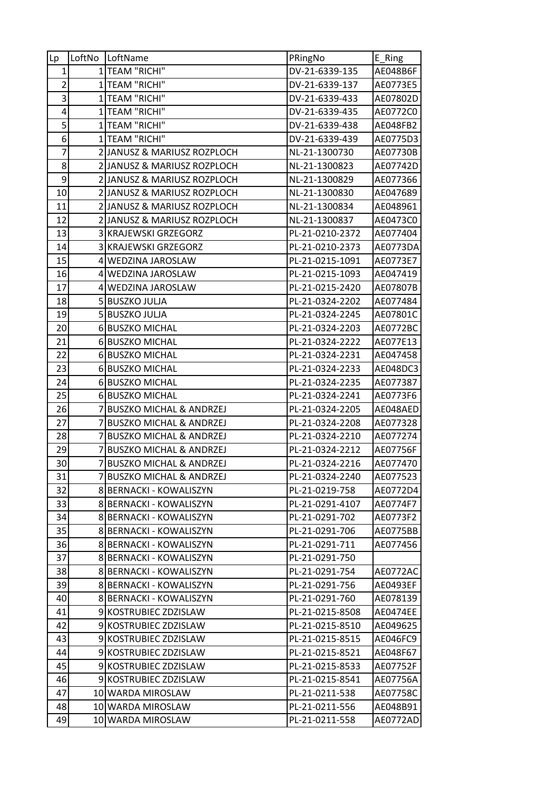| Lp              | LoftNo         | LoftName                           | PRingNo         | E_Ring          |
|-----------------|----------------|------------------------------------|-----------------|-----------------|
| $\mathbf{1}$    |                | 1 TEAM "RICHI"                     | DV-21-6339-135  | AE048B6F        |
| $\overline{2}$  |                | 1 TEAM "RICHI"                     | DV-21-6339-137  | AE0773E5        |
| 3               |                | 1 TEAM "RICHI"                     | DV-21-6339-433  | AE07802D        |
| 4               |                | 1 TEAM "RICHI"                     | DV-21-6339-435  | AE0772C0        |
| 5               | $\mathbf{1}$   | TEAM "RICHI"                       | DV-21-6339-438  | AE048FB2        |
| 6               |                | 1 TEAM "RICHI"                     | DV-21-6339-439  | AE0775D3        |
| $\overline{7}$  |                | 2 JANUSZ & MARIUSZ ROZPLOCH        | NL-21-1300730   | AE07730B        |
| 8               |                | 2 JANUSZ & MARIUSZ ROZPLOCH        | NL-21-1300823   | AE07742D        |
| 9               |                | 2 JANUSZ & MARIUSZ ROZPLOCH        | NL-21-1300829   | AE077366        |
| 10              |                | 2 JANUSZ & MARIUSZ ROZPLOCH        | NL-21-1300830   | AE047689        |
| 11              |                | 2 JANUSZ & MARIUSZ ROZPLOCH        | NL-21-1300834   | AE048961        |
| 12              |                | 2 JANUSZ & MARIUSZ ROZPLOCH        | NL-21-1300837   | AE0473C0        |
| 13              |                | 3 KRAJEWSKI GRZEGORZ               | PL-21-0210-2372 | AE077404        |
| 14              |                | 3 KRAJEWSKI GRZEGORZ               | PL-21-0210-2373 | AE0773DA        |
| 15              |                | 4 WEDZINA JAROSLAW                 | PL-21-0215-1091 | AE0773E7        |
| 16              |                | 4 WEDZINA JAROSLAW                 | PL-21-0215-1093 | AE047419        |
| 17              |                | 4 WEDZINA JAROSLAW                 | PL-21-0215-2420 | AE07807B        |
| 18              |                | 5 BUSZKO JULJA                     | PL-21-0324-2202 | AE077484        |
| 19              |                | 5 BUSZKO JULJA                     | PL-21-0324-2245 | AE07801C        |
| 20              |                | 6 BUSZKO MICHAL                    | PL-21-0324-2203 | AE0772BC        |
| 21              |                | 6 BUSZKO MICHAL                    | PL-21-0324-2222 | AE077E13        |
| 22              |                | 6 BUSZKO MICHAL                    | PL-21-0324-2231 | AE047458        |
| 23              |                | 6 BUSZKO MICHAL                    | PL-21-0324-2233 | AE048DC3        |
| 24              |                | 6 BUSZKO MICHAL                    | PL-21-0324-2235 | AE077387        |
| 25              |                | 6 BUSZKO MICHAL                    | PL-21-0324-2241 | AE0773F6        |
| 26              |                | 7 BUSZKO MICHAL & ANDRZEJ          | PL-21-0324-2205 | AE048AED        |
| 27              | 7              | <b>BUSZKO MICHAL &amp; ANDRZEJ</b> | PL-21-0324-2208 | AE077328        |
| 28              | 7              | <b>BUSZKO MICHAL &amp; ANDRZEJ</b> | PL-21-0324-2210 | AE077274        |
| 29              | $\overline{7}$ | <b>BUSZKO MICHAL &amp; ANDRZEJ</b> | PL-21-0324-2212 | AE07756F        |
| 30 <sup>2</sup> |                | <b>BUSZKO MICHAL &amp; ANDRZEJ</b> | PL-21-0324-2216 | AE077470        |
| 31              |                | 7 BUSZKO MICHAL & ANDRZEJ          | PL-21-0324-2240 | AE077523        |
| 32              |                | 8 BERNACKI - KOWALISZYN            | PL-21-0219-758  | AE0772D4        |
| 33              |                | 8 BERNACKI - KOWALISZYN            | PL-21-0291-4107 | AE0774F7        |
| 34              |                | 8 BERNACKI - KOWALISZYN            | PL-21-0291-702  | AE0773F2        |
| 35              |                | 8 BERNACKI - KOWALISZYN            | PL-21-0291-706  | AE0775BB        |
| 36              |                | 8 BERNACKI - KOWALISZYN            | PL-21-0291-711  | AE077456        |
| 37              |                | 8 BERNACKI - KOWALISZYN            | PL-21-0291-750  |                 |
| 38              |                | 8 BERNACKI - KOWALISZYN            | PL-21-0291-754  | AE0772AC        |
| 39              |                | 8 BERNACKI - KOWALISZYN            | PL-21-0291-756  | AE0493EF        |
| 40              |                | 8 BERNACKI - KOWALISZYN            | PL-21-0291-760  | AE078139        |
| 41              |                | 9 KOSTRUBIEC ZDZISLAW              | PL-21-0215-8508 | <b>AE0474EE</b> |
| 42              |                | 9 KOSTRUBIEC ZDZISLAW              | PL-21-0215-8510 | AE049625        |
| 43              |                | 9 KOSTRUBIEC ZDZISLAW              | PL-21-0215-8515 | AE046FC9        |
| 44              |                | 9 KOSTRUBIEC ZDZISLAW              | PL-21-0215-8521 | AE048F67        |
| 45              |                | 9 KOSTRUBIEC ZDZISLAW              | PL-21-0215-8533 | AE07752F        |
| 46              |                | 9 KOSTRUBIEC ZDZISLAW              | PL-21-0215-8541 | AE07756A        |
| 47              |                | 10 WARDA MIROSLAW                  | PL-21-0211-538  | AE07758C        |
| 48              |                | 10 WARDA MIROSLAW                  | PL-21-0211-556  | AE048B91        |
| 49              |                | 10 WARDA MIROSLAW                  | PL-21-0211-558  | AE0772AD        |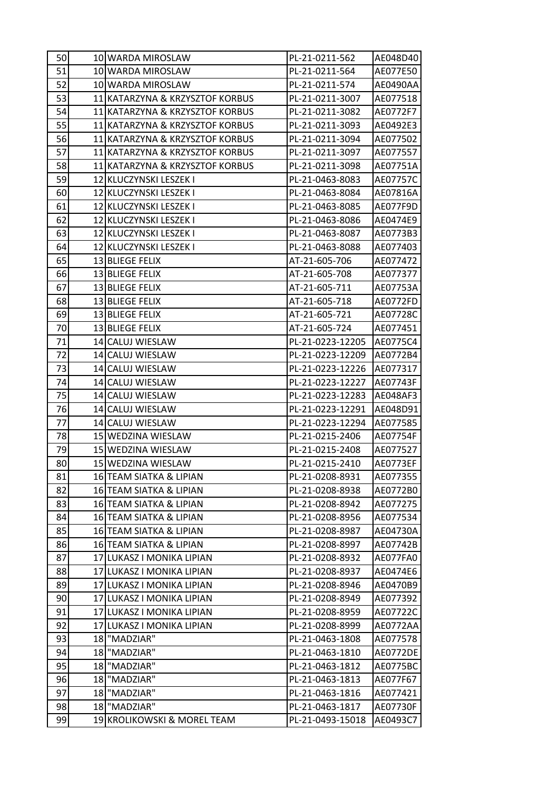| 50 | 10 WARDA MIROSLAW               | PL-21-0211-562   | AE048D40 |
|----|---------------------------------|------------------|----------|
| 51 | 10 WARDA MIROSLAW               | PL-21-0211-564   | AE077E50 |
| 52 | 10 WARDA MIROSLAW               | PL-21-0211-574   | AE0490AA |
| 53 | 11 KATARZYNA & KRZYSZTOF KORBUS | PL-21-0211-3007  | AE077518 |
| 54 | 11 KATARZYNA & KRZYSZTOF KORBUS | PL-21-0211-3082  | AE0772F7 |
| 55 | 11 KATARZYNA & KRZYSZTOF KORBUS | PL-21-0211-3093  | AE0492E3 |
| 56 | 11 KATARZYNA & KRZYSZTOF KORBUS | PL-21-0211-3094  | AE077502 |
| 57 | 11 KATARZYNA & KRZYSZTOF KORBUS | PL-21-0211-3097  | AE077557 |
| 58 | 11 KATARZYNA & KRZYSZTOF KORBUS | PL-21-0211-3098  | AE07751A |
| 59 | 12 KLUCZYNSKI LESZEK I          | PL-21-0463-8083  | AE07757C |
| 60 | 12 KLUCZYNSKI LESZEK I          | PL-21-0463-8084  | AE07816A |
| 61 | 12 KLUCZYNSKI LESZEK I          | PL-21-0463-8085  | AE077F9D |
| 62 | 12 KLUCZYNSKI LESZEK I          | PL-21-0463-8086  | AE0474E9 |
| 63 | 12 KLUCZYNSKI LESZEK I          | PL-21-0463-8087  | AE0773B3 |
| 64 | 12 KLUCZYNSKI LESZEK I          | PL-21-0463-8088  | AE077403 |
| 65 | 13 BLIEGE FELIX                 | AT-21-605-706    | AE077472 |
| 66 | 13 BLIEGE FELIX                 | AT-21-605-708    | AE077377 |
| 67 | 13 BLIEGE FELIX                 | AT-21-605-711    | AE07753A |
| 68 | 13 BLIEGE FELIX                 | AT-21-605-718    | AE0772FD |
| 69 | 13 BLIEGE FELIX                 | AT-21-605-721    | AE07728C |
| 70 | 13 BLIEGE FELIX                 | AT-21-605-724    | AE077451 |
| 71 | 14 CALUJ WIESLAW                | PL-21-0223-12205 | AE0775C4 |
| 72 | 14 CALUJ WIESLAW                | PL-21-0223-12209 | AE0772B4 |
| 73 | 14 CALUJ WIESLAW                | PL-21-0223-12226 | AE077317 |
| 74 | 14 CALUJ WIESLAW                | PL-21-0223-12227 | AE07743F |
| 75 | 14 CALUJ WIESLAW                | PL-21-0223-12283 | AE048AF3 |
| 76 | 14 CALUJ WIESLAW                | PL-21-0223-12291 | AE048D91 |
| 77 | 14 CALUJ WIESLAW                | PL-21-0223-12294 | AE077585 |
| 78 | 15 WEDZINA WIESLAW              | PL-21-0215-2406  | AE07754F |
| 79 | 15 WEDZINA WIESLAW              | PL-21-0215-2408  | AE077527 |
| 80 | 15 WEDZINA WIESLAW              | PL-21-0215-2410  | AE0773EF |
| 81 | 16 TEAM SIATKA & LIPIAN         | PL-21-0208-8931  | AE077355 |
| 82 | 16 TEAM SIATKA & LIPIAN         | PL-21-0208-8938  | AE0772B0 |
| 83 | 16 TEAM SIATKA & LIPIAN         | PL-21-0208-8942  | AE077275 |
| 84 | 16 TEAM SIATKA & LIPIAN         | PL-21-0208-8956  | AE077534 |
| 85 | 16 TEAM SIATKA & LIPIAN         | PL-21-0208-8987  | AE04730A |
| 86 | 16 TEAM SIATKA & LIPIAN         | PL-21-0208-8997  | AE07742B |
| 87 | 17 LUKASZ I MONIKA LIPIAN       | PL-21-0208-8932  | AE077FA0 |
| 88 | 17 LUKASZ I MONIKA LIPIAN       | PL-21-0208-8937  | AE0474E6 |
| 89 | 17 LUKASZ I MONIKA LIPIAN       | PL-21-0208-8946  | AE0470B9 |
| 90 | 17 LUKASZ I MONIKA LIPIAN       | PL-21-0208-8949  | AE077392 |
| 91 | 17 LUKASZ I MONIKA LIPIAN       | PL-21-0208-8959  | AE07722C |
| 92 | 17 LUKASZ I MONIKA LIPIAN       | PL-21-0208-8999  | AE0772AA |
| 93 | 18 MADZIAR"                     | PL-21-0463-1808  | AE077578 |
| 94 | 18 "MADZIAR"                    | PL-21-0463-1810  | AE0772DE |
| 95 | 18 MADZIAR"                     | PL-21-0463-1812  | AE0775BC |
| 96 | 18 "MADZIAR"                    | PL-21-0463-1813  | AE077F67 |
| 97 | 18 MADZIAR"                     | PL-21-0463-1816  | AE077421 |
| 98 | 18 "MADZIAR"                    | PL-21-0463-1817  | AE07730F |
| 99 | 19 KROLIKOWSKI & MOREL TEAM     | PL-21-0493-15018 | AE0493C7 |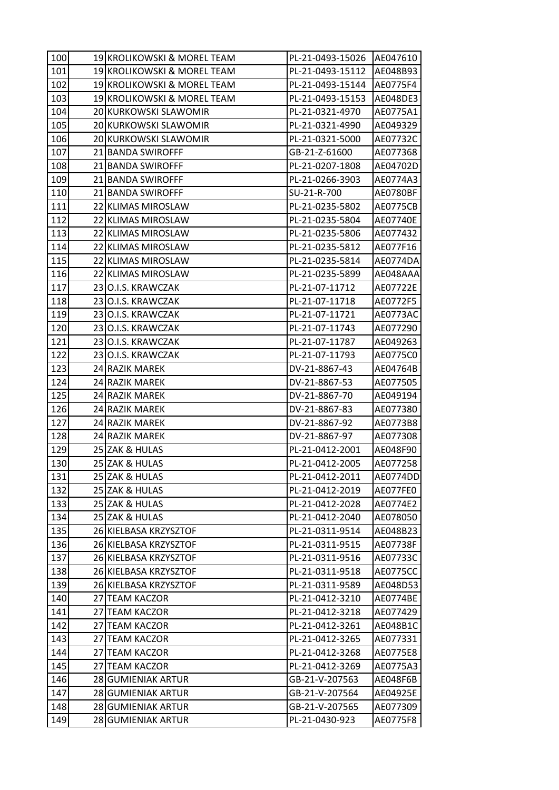| 100 |    | 19 KROLIKOWSKI & MOREL TEAM | PL-21-0493-15026 | AE047610        |
|-----|----|-----------------------------|------------------|-----------------|
| 101 |    | 19 KROLIKOWSKI & MOREL TEAM | PL-21-0493-15112 | AE048B93        |
| 102 |    | 19 KROLIKOWSKI & MOREL TEAM | PL-21-0493-15144 | AE0775F4        |
| 103 |    | 19 KROLIKOWSKI & MOREL TEAM | PL-21-0493-15153 | AE048DE3        |
| 104 |    | 20 KURKOWSKI SLAWOMIR       | PL-21-0321-4970  | AE0775A1        |
| 105 |    | 20 KURKOWSKI SLAWOMIR       | PL-21-0321-4990  | AE049329        |
| 106 |    | 20 KURKOWSKI SLAWOMIR       | PL-21-0321-5000  | AE07732C        |
| 107 |    | 21 BANDA SWIROFFF           | GB-21-Z-61600    | AE077368        |
| 108 |    | 21 BANDA SWIROFFF           | PL-21-0207-1808  | AE04702D        |
| 109 |    | 21 BANDA SWIROFFF           | PL-21-0266-3903  | AE0774A3        |
| 110 |    | 21 BANDA SWIROFFF           | SU-21-R-700      | AE0780BF        |
| 111 |    | 22 KLIMAS MIROSLAW          | PL-21-0235-5802  | <b>AE0775CB</b> |
| 112 |    | 22 KLIMAS MIROSLAW          | PL-21-0235-5804  | AE07740E        |
| 113 |    | 22 KLIMAS MIROSLAW          | PL-21-0235-5806  | AE077432        |
| 114 |    | 22 KLIMAS MIROSLAW          | PL-21-0235-5812  | AE077F16        |
| 115 |    | 22 KLIMAS MIROSLAW          | PL-21-0235-5814  | AE0774DA        |
| 116 |    | 22 KLIMAS MIROSLAW          | PL-21-0235-5899  | AE048AAA        |
| 117 |    | 23 O.I.S. KRAWCZAK          | PL-21-07-11712   | AE07722E        |
| 118 |    | 23 O.I.S. KRAWCZAK          | PL-21-07-11718   | AE0772F5        |
| 119 |    | 23 O.I.S. KRAWCZAK          | PL-21-07-11721   | AE0773AC        |
| 120 |    | 23 O.I.S. KRAWCZAK          | PL-21-07-11743   | AE077290        |
| 121 |    | 23 O.I.S. KRAWCZAK          | PL-21-07-11787   | AE049263        |
| 122 |    | 23 O.I.S. KRAWCZAK          | PL-21-07-11793   | AE0775C0        |
| 123 |    | 24 RAZIK MAREK              | DV-21-8867-43    | AE04764B        |
| 124 |    | 24 RAZIK MAREK              | DV-21-8867-53    | AE077505        |
| 125 |    | 24 RAZIK MAREK              | DV-21-8867-70    | AE049194        |
| 126 |    | 24 RAZIK MAREK              | DV-21-8867-83    | AE077380        |
| 127 |    | 24 RAZIK MAREK              | DV-21-8867-92    | AE0773B8        |
| 128 |    | 24 RAZIK MAREK              | DV-21-8867-97    | AE077308        |
| 129 |    | 25 ZAK & HULAS              | PL-21-0412-2001  | AE048F90        |
| 130 |    | 25 ZAK & HULAS              | PL-21-0412-2005  | AE077258        |
| 131 |    | 25 ZAK & HULAS              | PL-21-0412-2011  | AE0774DD        |
| 132 |    | 25 ZAK & HULAS              | PL-21-0412-2019  | AE077FE0        |
| 133 |    | 25 ZAK & HULAS              | PL-21-0412-2028  | AE0774E2        |
| 134 |    | 25 ZAK & HULAS              | PL-21-0412-2040  | AE078050        |
| 135 |    | 26 KIELBASA KRZYSZTOF       | PL-21-0311-9514  | AE048B23        |
| 136 |    | 26 KIELBASA KRZYSZTOF       | PL-21-0311-9515  | AE07738F        |
| 137 |    | 26 KIELBASA KRZYSZTOF       | PL-21-0311-9516  | AE07733C        |
| 138 |    | 26 KIELBASA KRZYSZTOF       | PL-21-0311-9518  | <b>AE0775CC</b> |
| 139 |    | 26 KIELBASA KRZYSZTOF       | PL-21-0311-9589  | AE048D53        |
| 140 |    | 27 TEAM KACZOR              | PL-21-0412-3210  | AE0774BE        |
| 141 | 27 | <b>TEAM KACZOR</b>          | PL-21-0412-3218  | AE077429        |
| 142 | 27 | <b>TEAM KACZOR</b>          | PL-21-0412-3261  | AE048B1C        |
| 143 |    | 27 TEAM KACZOR              | PL-21-0412-3265  | AE077331        |
| 144 |    | 27 TEAM KACZOR              | PL-21-0412-3268  | AE0775E8        |
| 145 |    | 27 TEAM KACZOR              | PL-21-0412-3269  | AE0775A3        |
| 146 |    | 28 GUMIENIAK ARTUR          | GB-21-V-207563   | AE048F6B        |
| 147 |    | 28 GUMIENIAK ARTUR          | GB-21-V-207564   | AE04925E        |
| 148 |    | 28 GUMIENIAK ARTUR          | GB-21-V-207565   | AE077309        |
| 149 |    | 28 GUMIENIAK ARTUR          | PL-21-0430-923   | AE0775F8        |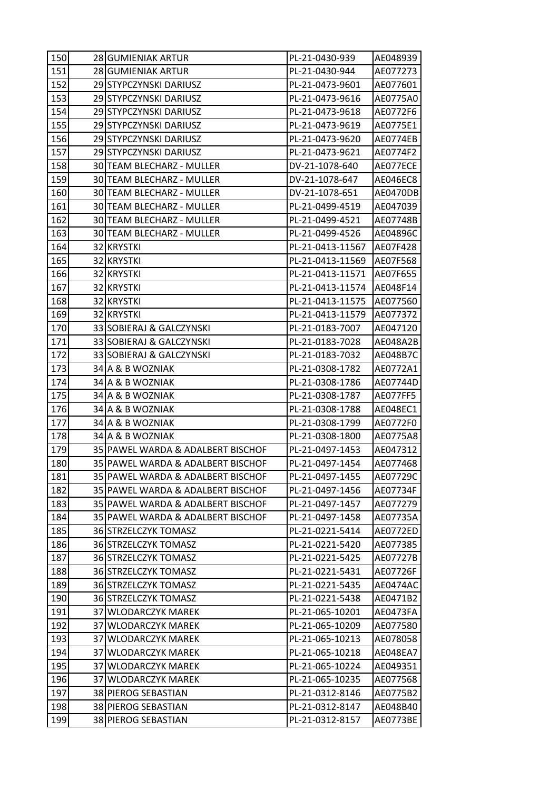| 150 | 28 GUMIENIAK ARTUR                | PL-21-0430-939   | AE048939        |
|-----|-----------------------------------|------------------|-----------------|
| 151 | 28 GUMIENIAK ARTUR                | PL-21-0430-944   | AE077273        |
| 152 | 29 STYPCZYNSKI DARIUSZ            | PL-21-0473-9601  | AE077601        |
| 153 | 29 STYPCZYNSKI DARIUSZ            | PL-21-0473-9616  | AE0775A0        |
| 154 | 29 STYPCZYNSKI DARIUSZ            | PL-21-0473-9618  | AE0772F6        |
| 155 | 29 STYPCZYNSKI DARIUSZ            | PL-21-0473-9619  | AE0775E1        |
| 156 | 29 STYPCZYNSKI DARIUSZ            | PL-21-0473-9620  | AE0774EB        |
| 157 | 29 STYPCZYNSKI DARIUSZ            | PL-21-0473-9621  | AE0774F2        |
| 158 | 30 TEAM BLECHARZ - MULLER         | DV-21-1078-640   | AE077ECE        |
| 159 | 30 TEAM BLECHARZ - MULLER         | DV-21-1078-647   | <b>AE046EC8</b> |
| 160 | 30 TEAM BLECHARZ - MULLER         | DV-21-1078-651   | AE0470DB        |
| 161 | 30 TEAM BLECHARZ - MULLER         | PL-21-0499-4519  | AE047039        |
| 162 | 30 TEAM BLECHARZ - MULLER         | PL-21-0499-4521  | AE07748B        |
| 163 | 30 TEAM BLECHARZ - MULLER         | PL-21-0499-4526  | AE04896C        |
| 164 | 32 KRYSTKI                        | PL-21-0413-11567 | AE07F428        |
| 165 | 32 KRYSTKI                        | PL-21-0413-11569 | AE07F568        |
| 166 | 32 KRYSTKI                        | PL-21-0413-11571 | AE07F655        |
| 167 | 32 KRYSTKI                        | PL-21-0413-11574 | AE048F14        |
| 168 | 32 KRYSTKI                        | PL-21-0413-11575 | AE077560        |
| 169 | 32 KRYSTKI                        | PL-21-0413-11579 | AE077372        |
| 170 | 33 SOBIERAJ & GALCZYNSKI          | PL-21-0183-7007  | AE047120        |
| 171 | 33 SOBIERAJ & GALCZYNSKI          | PL-21-0183-7028  | AE048A2B        |
| 172 | 33 SOBIERAJ & GALCZYNSKI          | PL-21-0183-7032  | AE048B7C        |
| 173 | 34 A & B WOZNIAK                  | PL-21-0308-1782  | AE0772A1        |
| 174 | 34 A & B WOZNIAK                  | PL-21-0308-1786  | AE07744D        |
| 175 | 34 A & B WOZNIAK                  | PL-21-0308-1787  | AE077FF5        |
| 176 | 34 A & B WOZNIAK                  | PL-21-0308-1788  | AE048EC1        |
| 177 | 34 A & B WOZNIAK                  | PL-21-0308-1799  | AE0772F0        |
| 178 | 34 A & B WOZNIAK                  | PL-21-0308-1800  | AE0775A8        |
| 179 | 35 PAWEL WARDA & ADALBERT BISCHOF | PL-21-0497-1453  | AE047312        |
| 180 | 35 PAWEL WARDA & ADALBERT BISCHOF | PL-21-0497-1454  | AE077468        |
| 181 | 35 PAWEL WARDA & ADALBERT BISCHOF | PL-21-0497-1455  | AE07729C        |
| 182 | 35 PAWEL WARDA & ADALBERT BISCHOF | PL-21-0497-1456  | AE07734F        |
| 183 | 35 PAWEL WARDA & ADALBERT BISCHOF | PL-21-0497-1457  | AE077279        |
| 184 | 35 PAWEL WARDA & ADALBERT BISCHOF | PL-21-0497-1458  | AE07735A        |
| 185 | 36 STRZELCZYK TOMASZ              | PL-21-0221-5414  | AE0772ED        |
| 186 | 36 STRZELCZYK TOMASZ              | PL-21-0221-5420  | AE077385        |
| 187 | 36 STRZELCZYK TOMASZ              | PL-21-0221-5425  | AE07727B        |
| 188 | 36 STRZELCZYK TOMASZ              | PL-21-0221-5431  | AE07726F        |
| 189 | 36 STRZELCZYK TOMASZ              | PL-21-0221-5435  | AE0474AC        |
| 190 | 36 STRZELCZYK TOMASZ              | PL-21-0221-5438  | AE0471B2        |
| 191 | 37 WLODARCZYK MAREK               | PL-21-065-10201  | AE0473FA        |
| 192 | 37 WLODARCZYK MAREK               | PL-21-065-10209  | AE077580        |
| 193 | 37 WLODARCZYK MAREK               | PL-21-065-10213  | AE078058        |
| 194 | 37 WLODARCZYK MAREK               | PL-21-065-10218  | AE048EA7        |
| 195 | 37 WLODARCZYK MAREK               | PL-21-065-10224  | AE049351        |
| 196 | 37 WLODARCZYK MAREK               | PL-21-065-10235  | AE077568        |
| 197 | 38 PIEROG SEBASTIAN               | PL-21-0312-8146  | AE0775B2        |
| 198 | 38 PIEROG SEBASTIAN               | PL-21-0312-8147  | AE048B40        |
| 199 | 38 PIEROG SEBASTIAN               | PL-21-0312-8157  | AE0773BE        |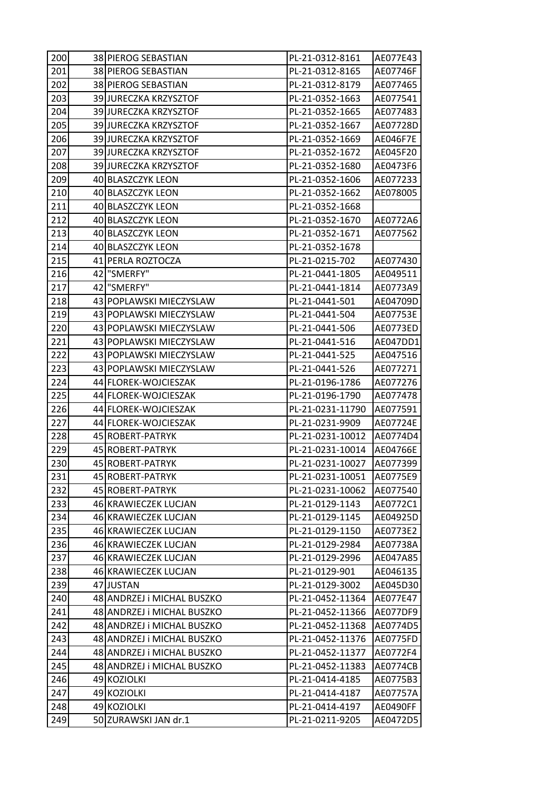| 200 | 38 PIEROG SEBASTIAN        | PL-21-0312-8161  | AE077E43 |
|-----|----------------------------|------------------|----------|
| 201 | 38 PIEROG SEBASTIAN        | PL-21-0312-8165  | AE07746F |
| 202 | 38 PIEROG SEBASTIAN        | PL-21-0312-8179  | AE077465 |
| 203 | 39 JURECZKA KRZYSZTOF      | PL-21-0352-1663  | AE077541 |
| 204 | 39 JURECZKA KRZYSZTOF      | PL-21-0352-1665  | AE077483 |
| 205 | 39 JURECZKA KRZYSZTOF      | PL-21-0352-1667  | AE07728D |
| 206 | 39 JURECZKA KRZYSZTOF      | PL-21-0352-1669  | AE046F7E |
| 207 | 39 JURECZKA KRZYSZTOF      | PL-21-0352-1672  | AE045F20 |
| 208 | 39 JURECZKA KRZYSZTOF      | PL-21-0352-1680  | AE0473F6 |
| 209 | 40 BLASZCZYK LEON          | PL-21-0352-1606  | AE077233 |
| 210 | 40 BLASZCZYK LEON          | PL-21-0352-1662  | AE078005 |
| 211 | 40 BLASZCZYK LEON          | PL-21-0352-1668  |          |
| 212 | 40 BLASZCZYK LEON          | PL-21-0352-1670  | AE0772A6 |
| 213 | 40 BLASZCZYK LEON          | PL-21-0352-1671  | AE077562 |
| 214 | 40 BLASZCZYK LEON          | PL-21-0352-1678  |          |
| 215 | 41 PERLA ROZTOCZA          | PL-21-0215-702   | AE077430 |
| 216 | 42 "SMERFY"                | PL-21-0441-1805  | AE049511 |
| 217 | 42 "SMERFY"                | PL-21-0441-1814  | AE0773A9 |
| 218 | 43 POPLAWSKI MIECZYSLAW    | PL-21-0441-501   | AE04709D |
| 219 | 43 POPLAWSKI MIECZYSLAW    | PL-21-0441-504   | AE07753E |
| 220 | 43 POPLAWSKI MIECZYSLAW    | PL-21-0441-506   | AE0773ED |
| 221 | 43 POPLAWSKI MIECZYSLAW    | PL-21-0441-516   | AE047DD1 |
| 222 | 43 POPLAWSKI MIECZYSLAW    | PL-21-0441-525   | AE047516 |
| 223 | 43 POPLAWSKI MIECZYSLAW    | PL-21-0441-526   | AE077271 |
| 224 | 44 FLOREK-WOJCIESZAK       | PL-21-0196-1786  | AE077276 |
| 225 | 44 FLOREK-WOJCIESZAK       | PL-21-0196-1790  | AE077478 |
| 226 | 44 FLOREK-WOJCIESZAK       | PL-21-0231-11790 | AE077591 |
| 227 | 44 FLOREK-WOJCIESZAK       | PL-21-0231-9909  | AE07724E |
| 228 | 45 ROBERT-PATRYK           | PL-21-0231-10012 | AE0774D4 |
| 229 | 45 ROBERT-PATRYK           | PL-21-0231-10014 | AE04766E |
| 230 | 45 ROBERT-PATRYK           | PL-21-0231-10027 | AE077399 |
| 231 | 45 ROBERT-PATRYK           | PL-21-0231-10051 | AE0775E9 |
| 232 | 45 ROBERT-PATRYK           | PL-21-0231-10062 | AE077540 |
| 233 | 46 KRAWIECZEK LUCJAN       | PL-21-0129-1143  | AE0772C1 |
| 234 | 46 KRAWIECZEK LUCJAN       | PL-21-0129-1145  | AE04925D |
| 235 | 46 KRAWIECZEK LUCJAN       | PL-21-0129-1150  | AE0773E2 |
| 236 | 46 KRAWIECZEK LUCJAN       | PL-21-0129-2984  | AE07738A |
| 237 | 46 KRAWIECZEK LUCJAN       | PL-21-0129-2996  | AE047A85 |
| 238 | 46 KRAWIECZEK LUCJAN       | PL-21-0129-901   | AE046135 |
| 239 | 47 JUSTAN                  | PL-21-0129-3002  | AE045D30 |
| 240 | 48 ANDRZEJ I MICHAL BUSZKO | PL-21-0452-11364 | AE077E47 |
| 241 | 48 ANDRZEJ I MICHAL BUSZKO | PL-21-0452-11366 | AE077DF9 |
| 242 | 48 ANDRZEJ i MICHAL BUSZKO | PL-21-0452-11368 | AE0774D5 |
| 243 | 48 ANDRZEJ I MICHAL BUSZKO | PL-21-0452-11376 | AE0775FD |
| 244 | 48 ANDRZEJ i MICHAL BUSZKO | PL-21-0452-11377 | AE0772F4 |
| 245 | 48 ANDRZEJ i MICHAL BUSZKO | PL-21-0452-11383 | AE0774CB |
| 246 | 49 KOZIOLKI                | PL-21-0414-4185  | AE0775B3 |
| 247 | 49 KOZIOLKI                | PL-21-0414-4187  | AE07757A |
| 248 | 49 KOZIOLKI                | PL-21-0414-4197  | AE0490FF |
| 249 | 50 ZURAWSKI JAN dr.1       | PL-21-0211-9205  | AE0472D5 |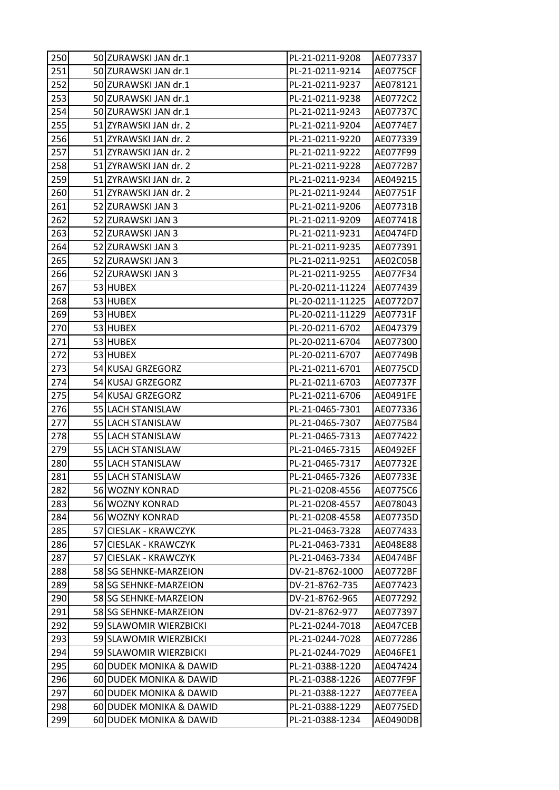| 250 | 50 ZURAWSKI JAN dr.1    | PL-21-0211-9208  | AE077337 |
|-----|-------------------------|------------------|----------|
| 251 | 50 ZURAWSKI JAN dr.1    | PL-21-0211-9214  | AE0775CF |
| 252 | 50 ZURAWSKI JAN dr.1    | PL-21-0211-9237  | AE078121 |
| 253 | 50 ZURAWSKI JAN dr.1    | PL-21-0211-9238  | AE0772C2 |
| 254 | 50 ZURAWSKI JAN dr.1    | PL-21-0211-9243  | AE07737C |
| 255 | 51 ZYRAWSKI JAN dr. 2   | PL-21-0211-9204  | AE0774E7 |
| 256 | 51 ZYRAWSKI JAN dr. 2   | PL-21-0211-9220  | AE077339 |
| 257 | 51 ZYRAWSKI JAN dr. 2   | PL-21-0211-9222  | AE077F99 |
| 258 | 51 ZYRAWSKI JAN dr. 2   | PL-21-0211-9228  | AE0772B7 |
| 259 | 51 ZYRAWSKI JAN dr. 2   | PL-21-0211-9234  | AE049215 |
| 260 | 51 ZYRAWSKI JAN dr. 2   | PL-21-0211-9244  | AE07751F |
| 261 | 52 ZURAWSKI JAN 3       | PL-21-0211-9206  | AE07731B |
| 262 | 52 ZURAWSKI JAN 3       | PL-21-0211-9209  | AE077418 |
| 263 | 52 ZURAWSKI JAN 3       | PL-21-0211-9231  | AE0474FD |
| 264 | 52 ZURAWSKI JAN 3       | PL-21-0211-9235  | AE077391 |
| 265 | 52 ZURAWSKI JAN 3       | PL-21-0211-9251  | AE02C05B |
| 266 | 52 ZURAWSKI JAN 3       | PL-21-0211-9255  | AE077F34 |
| 267 | 53 HUBEX                | PL-20-0211-11224 | AE077439 |
| 268 | 53 HUBEX                | PL-20-0211-11225 | AE0772D7 |
| 269 | 53 HUBEX                | PL-20-0211-11229 | AE07731F |
| 270 | 53 HUBEX                | PL-20-0211-6702  | AE047379 |
| 271 | 53 HUBEX                | PL-20-0211-6704  | AE077300 |
| 272 | 53 HUBEX                | PL-20-0211-6707  | AE07749B |
| 273 | 54 KUSAJ GRZEGORZ       | PL-21-0211-6701  | AE0775CD |
| 274 | 54 KUSAJ GRZEGORZ       | PL-21-0211-6703  | AE07737F |
| 275 | 54 KUSAJ GRZEGORZ       | PL-21-0211-6706  | AE0491FE |
| 276 | 55 LACH STANISLAW       | PL-21-0465-7301  | AE077336 |
| 277 | 55 LACH STANISLAW       | PL-21-0465-7307  | AE0775B4 |
| 278 | 55 LACH STANISLAW       | PL-21-0465-7313  | AE077422 |
| 279 | 55 LACH STANISLAW       | PL-21-0465-7315  | AE0492EF |
| 280 | 55 LACH STANISLAW       | PL-21-0465-7317  | AE07732E |
| 281 | 55 LACH STANISLAW       | PL-21-0465-7326  | AE07733E |
| 282 | 56 WOZNY KONRAD         | PL-21-0208-4556  | AE0775C6 |
| 283 | 56 WOZNY KONRAD         | PL-21-0208-4557  | AE078043 |
| 284 | 56 WOZNY KONRAD         | PL-21-0208-4558  | AE07735D |
| 285 | 57 CIESLAK - KRAWCZYK   | PL-21-0463-7328  | AE077433 |
| 286 | 57 CIESLAK - KRAWCZYK   | PL-21-0463-7331  | AE048E88 |
| 287 | 57 CIESLAK - KRAWCZYK   | PL-21-0463-7334  | AE0474BF |
| 288 | 58 SG SEHNKE-MARZEION   | DV-21-8762-1000  | AE0772BF |
| 289 | 58 SG SEHNKE-MARZEION   | DV-21-8762-735   | AE077423 |
| 290 | 58 SG SEHNKE-MARZEION   | DV-21-8762-965   | AE077292 |
| 291 | 58 SG SEHNKE-MARZEION   | DV-21-8762-977   | AE077397 |
| 292 | 59 SLAWOMIR WIERZBICKI  | PL-21-0244-7018  | AE047CEB |
| 293 | 59 SLAWOMIR WIERZBICKI  | PL-21-0244-7028  | AE077286 |
| 294 | 59 SLAWOMIR WIERZBICKI  | PL-21-0244-7029  | AE046FE1 |
| 295 | 60 DUDEK MONIKA & DAWID | PL-21-0388-1220  | AE047424 |
| 296 | 60 DUDEK MONIKA & DAWID | PL-21-0388-1226  | AE077F9F |
| 297 | 60 DUDEK MONIKA & DAWID | PL-21-0388-1227  | AE077EEA |
| 298 | 60 DUDEK MONIKA & DAWID | PL-21-0388-1229  | AE0775ED |
| 299 | 60 DUDEK MONIKA & DAWID | PL-21-0388-1234  | AE0490DB |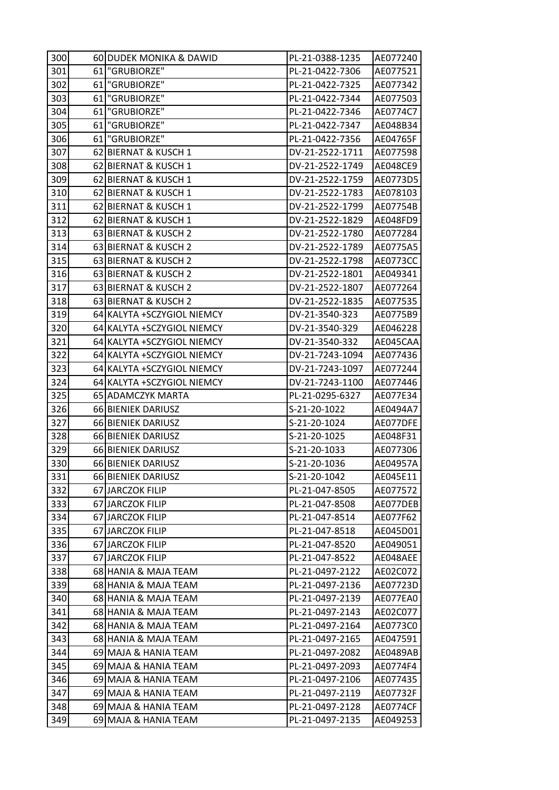| 300 | 60 DUDEK MONIKA & DAWID     | PL-21-0388-1235 | AE077240 |
|-----|-----------------------------|-----------------|----------|
| 301 | 61   "GRUBIORZE"            | PL-21-0422-7306 | AE077521 |
| 302 | 61 "GRUBIORZE"              | PL-21-0422-7325 | AE077342 |
| 303 | 61   "GRUBIORZE"            | PL-21-0422-7344 | AE077503 |
| 304 | 61 "GRUBIORZE"              | PL-21-0422-7346 | AE0774C7 |
| 305 | 61   "GRUBIORZE"            | PL-21-0422-7347 | AE048B34 |
| 306 | 61   "GRUBIORZE"            | PL-21-0422-7356 | AE04765F |
| 307 | 62 BIERNAT & KUSCH 1        | DV-21-2522-1711 | AE077598 |
| 308 | 62 BIERNAT & KUSCH 1        | DV-21-2522-1749 | AE048CE9 |
| 309 | 62 BIERNAT & KUSCH 1        | DV-21-2522-1759 | AE0773D5 |
| 310 | 62 BIERNAT & KUSCH 1        | DV-21-2522-1783 | AE078103 |
| 311 | 62 BIERNAT & KUSCH 1        | DV-21-2522-1799 | AE07754B |
| 312 | 62 BIERNAT & KUSCH 1        | DV-21-2522-1829 | AE048FD9 |
| 313 | 63 BIERNAT & KUSCH 2        | DV-21-2522-1780 | AE077284 |
| 314 | 63 BIERNAT & KUSCH 2        | DV-21-2522-1789 | AE0775A5 |
| 315 | 63 BIERNAT & KUSCH 2        | DV-21-2522-1798 | AE0773CC |
| 316 | 63 BIERNAT & KUSCH 2        | DV-21-2522-1801 | AE049341 |
| 317 | 63 BIERNAT & KUSCH 2        | DV-21-2522-1807 | AE077264 |
| 318 | 63 BIERNAT & KUSCH 2        | DV-21-2522-1835 | AE077535 |
| 319 | 64 KALYTA + SCZYGIOL NIEMCY | DV-21-3540-323  | AE0775B9 |
| 320 | 64 KALYTA + SCZYGIOL NIEMCY | DV-21-3540-329  | AE046228 |
| 321 | 64 KALYTA + SCZYGIOL NIEMCY | DV-21-3540-332  | AE045CAA |
| 322 | 64 KALYTA + SCZYGIOL NIEMCY | DV-21-7243-1094 | AE077436 |
| 323 | 64 KALYTA + SCZYGIOL NIEMCY | DV-21-7243-1097 | AE077244 |
| 324 | 64 KALYTA + SCZYGIOL NIEMCY | DV-21-7243-1100 | AE077446 |
| 325 | 65 ADAMCZYK MARTA           | PL-21-0295-6327 | AE077E34 |
| 326 | 66 BIENIEK DARIUSZ          | S-21-20-1022    | AE0494A7 |
| 327 | 66 BIENIEK DARIUSZ          | S-21-20-1024    | AE077DFE |
| 328 | 66 BIENIEK DARIUSZ          | S-21-20-1025    | AE048F31 |
| 329 | 66 BIENIEK DARIUSZ          | S-21-20-1033    | AE077306 |
| 330 | 66 BIENIEK DARIUSZ          | S-21-20-1036    | AE04957A |
| 331 | 66 BIENIEK DARIUSZ          | S-21-20-1042    | AE045E11 |
| 332 | 67 JARCZOK FILIP            | PL-21-047-8505  | AE077572 |
| 333 | 67 JARCZOK FILIP            | PL-21-047-8508  | AE077DEB |
| 334 | 67 JARCZOK FILIP            | PL-21-047-8514  | AE077F62 |
| 335 | 67 JARCZOK FILIP            | PL-21-047-8518  | AE045D01 |
| 336 | 67 JARCZOK FILIP            | PL-21-047-8520  | AE049051 |
| 337 | 67 JARCZOK FILIP            | PL-21-047-8522  | AE048AEE |
| 338 | 68 HANIA & MAJA TEAM        | PL-21-0497-2122 | AE02C072 |
| 339 | 68 HANIA & MAJA TEAM        | PL-21-0497-2136 | AE07723D |
| 340 | 68 HANIA & MAJA TEAM        | PL-21-0497-2139 | AE077EA0 |
| 341 | 68 HANIA & MAJA TEAM        | PL-21-0497-2143 | AE02C077 |
| 342 | 68 HANIA & MAJA TEAM        | PL-21-0497-2164 | AE0773C0 |
| 343 | 68 HANIA & MAJA TEAM        | PL-21-0497-2165 | AE047591 |
| 344 | 69 MAJA & HANIA TEAM        | PL-21-0497-2082 | AE0489AB |
| 345 | 69 MAJA & HANIA TEAM        | PL-21-0497-2093 | AE0774F4 |
| 346 | 69 MAJA & HANIA TEAM        | PL-21-0497-2106 | AE077435 |
| 347 | 69 MAJA & HANIA TEAM        | PL-21-0497-2119 | AE07732F |
| 348 | 69 MAJA & HANIA TEAM        | PL-21-0497-2128 | AE0774CF |
| 349 |                             |                 |          |
|     | 69 MAJA & HANIA TEAM        | PL-21-0497-2135 | AE049253 |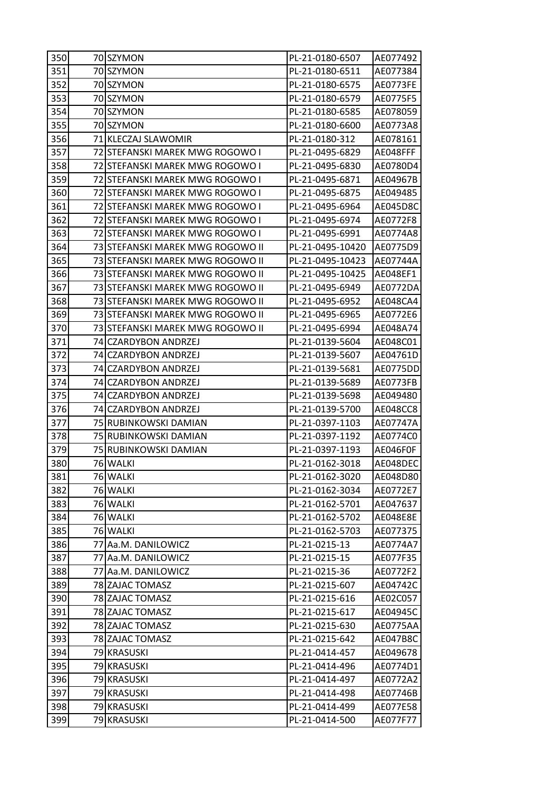| 350 | 70 SZYMON                        | PL-21-0180-6507  | AE077492        |
|-----|----------------------------------|------------------|-----------------|
| 351 | 70 SZYMON                        | PL-21-0180-6511  | AE077384        |
| 352 | 70 SZYMON                        | PL-21-0180-6575  | AE0773FE        |
| 353 | 70 SZYMON                        | PL-21-0180-6579  | AE0775F5        |
| 354 | 70 SZYMON                        | PL-21-0180-6585  | AE078059        |
| 355 | 70 SZYMON                        | PL-21-0180-6600  | AE0773A8        |
| 356 | 71 KLECZAJ SLAWOMIR              | PL-21-0180-312   | AE078161        |
| 357 | 72 STEFANSKI MAREK MWG ROGOWO I  | PL-21-0495-6829  | AE048FFF        |
| 358 | 72 STEFANSKI MAREK MWG ROGOWO I  | PL-21-0495-6830  | AE0780D4        |
| 359 | 72 STEFANSKI MAREK MWG ROGOWO I  | PL-21-0495-6871  | AE04967B        |
| 360 | 72 STEFANSKI MAREK MWG ROGOWO I  | PL-21-0495-6875  | AE049485        |
| 361 | 72 STEFANSKI MAREK MWG ROGOWO I  | PL-21-0495-6964  | AE045D8C        |
| 362 | 72 STEFANSKI MAREK MWG ROGOWO I  | PL-21-0495-6974  | AE0772F8        |
| 363 | 72 STEFANSKI MAREK MWG ROGOWO I  | PL-21-0495-6991  | AE0774A8        |
| 364 | 73 STEFANSKI MAREK MWG ROGOWO II | PL-21-0495-10420 | AE0775D9        |
| 365 | 73 STEFANSKI MAREK MWG ROGOWO II | PL-21-0495-10423 | AE07744A        |
| 366 | 73 STEFANSKI MAREK MWG ROGOWO II | PL-21-0495-10425 | AE048EF1        |
| 367 | 73 STEFANSKI MAREK MWG ROGOWO II | PL-21-0495-6949  | AE0772DA        |
| 368 | 73 STEFANSKI MAREK MWG ROGOWO II | PL-21-0495-6952  | AE048CA4        |
| 369 | 73 STEFANSKI MAREK MWG ROGOWO II | PL-21-0495-6965  | AE0772E6        |
| 370 | 73 STEFANSKI MAREK MWG ROGOWO II | PL-21-0495-6994  | AE048A74        |
| 371 | 74 CZARDYBON ANDRZEJ             | PL-21-0139-5604  | AE048C01        |
| 372 | 74 CZARDYBON ANDRZEJ             | PL-21-0139-5607  | AE04761D        |
| 373 | 74 CZARDYBON ANDRZEJ             | PL-21-0139-5681  | AE0775DD        |
| 374 | 74 CZARDYBON ANDRZEJ             | PL-21-0139-5689  | AE0773FB        |
| 375 | 74 CZARDYBON ANDRZEJ             | PL-21-0139-5698  | AE049480        |
| 376 | 74 CZARDYBON ANDRZEJ             | PL-21-0139-5700  | AE048CC8        |
| 377 | 75 RUBINKOWSKI DAMIAN            | PL-21-0397-1103  | AE07747A        |
| 378 | 75 RUBINKOWSKI DAMIAN            | PL-21-0397-1192  | AE0774C0        |
| 379 | 75 RUBINKOWSKI DAMIAN            | PL-21-0397-1193  | AE046F0F        |
| 380 | 76 WALKI                         | PL-21-0162-3018  | AE048DEC        |
| 381 | 76 WALKI                         | PL-21-0162-3020  | AE048D80        |
| 382 | 76 WALKI                         | PL-21-0162-3034  | AE0772E7        |
| 383 | 76 WALKI                         | PL-21-0162-5701  | AE047637        |
| 384 | 76 WALKI                         | PL-21-0162-5702  | <b>AE048E8E</b> |
| 385 | 76 WALKI                         | PL-21-0162-5703  | AE077375        |
| 386 | 77 Aa.M. DANILOWICZ              | PL-21-0215-13    | AE0774A7        |
| 387 | 77 Aa.M. DANILOWICZ              | PL-21-0215-15    | AE077F35        |
| 388 | 77 Aa.M. DANILOWICZ              | PL-21-0215-36    | AE0772F2        |
| 389 | 78 ZAJAC TOMASZ                  | PL-21-0215-607   | AE04742C        |
| 390 | 78 ZAJAC TOMASZ                  | PL-21-0215-616   | AE02C057        |
| 391 | 78 ZAJAC TOMASZ                  | PL-21-0215-617   | AE04945C        |
| 392 | 78 ZAJAC TOMASZ                  | PL-21-0215-630   | AE0775AA        |
| 393 | 78 ZAJAC TOMASZ                  | PL-21-0215-642   | AE047B8C        |
| 394 | 79 KRASUSKI                      | PL-21-0414-457   | AE049678        |
| 395 | 79 KRASUSKI                      | PL-21-0414-496   | AE0774D1        |
| 396 | 79 KRASUSKI                      | PL-21-0414-497   | AE0772A2        |
| 397 | 79 KRASUSKI                      | PL-21-0414-498   | AE07746B        |
| 398 | 79 KRASUSKI                      | PL-21-0414-499   | AE077E58        |
| 399 | 79 KRASUSKI                      | PL-21-0414-500   | AE077F77        |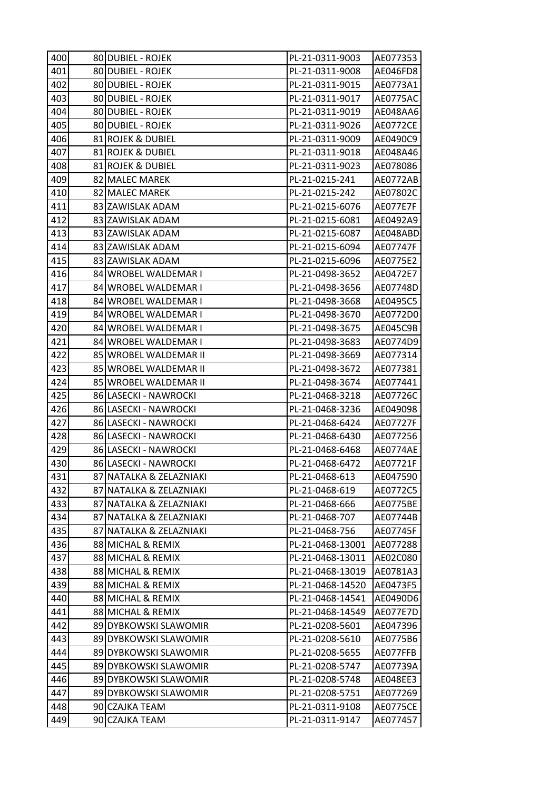| 400 | 80 DUBIEL - ROJEK       | PL-21-0311-9003  | AE077353        |
|-----|-------------------------|------------------|-----------------|
| 401 | 80 DUBIEL - ROJEK       | PL-21-0311-9008  | AE046FD8        |
| 402 | 80 DUBIEL - ROJEK       | PL-21-0311-9015  | AE0773A1        |
| 403 | 80 DUBIEL - ROJEK       | PL-21-0311-9017  | AE0775AC        |
| 404 | 80 DUBIEL - ROJEK       | PL-21-0311-9019  | AE048AA6        |
| 405 | 80 DUBIEL - ROJEK       | PL-21-0311-9026  | AE0772CE        |
| 406 | 81 ROJEK & DUBIEL       | PL-21-0311-9009  | AE0490C9        |
| 407 | 81 ROJEK & DUBIEL       | PL-21-0311-9018  | AE048A46        |
| 408 | 81 ROJEK & DUBIEL       | PL-21-0311-9023  | AE078086        |
| 409 | 82 MALEC MAREK          | PL-21-0215-241   | AE0772AB        |
| 410 | 82 MALEC MAREK          | PL-21-0215-242   | AE07802C        |
| 411 | 83 ZAWISLAK ADAM        | PL-21-0215-6076  | AE077E7F        |
| 412 | 83 ZAWISLAK ADAM        | PL-21-0215-6081  | AE0492A9        |
| 413 | 83 ZAWISLAK ADAM        | PL-21-0215-6087  | AE048ABD        |
| 414 | 83 ZAWISLAK ADAM        | PL-21-0215-6094  | AE07747F        |
| 415 | 83 ZAWISLAK ADAM        | PL-21-0215-6096  | AE0775E2        |
| 416 | 84 WROBEL WALDEMAR I    | PL-21-0498-3652  | AE0472E7        |
| 417 | 84 WROBEL WALDEMAR I    | PL-21-0498-3656  | AE07748D        |
| 418 | 84 WROBEL WALDEMAR I    | PL-21-0498-3668  | AE0495C5        |
| 419 | 84 WROBEL WALDEMAR I    | PL-21-0498-3670  | AE0772D0        |
| 420 | 84 WROBEL WALDEMAR I    | PL-21-0498-3675  | AE045C9B        |
| 421 | 84 WROBEL WALDEMAR I    | PL-21-0498-3683  | AE0774D9        |
| 422 | 85 WROBEL WALDEMAR II   | PL-21-0498-3669  | AE077314        |
| 423 | 85 WROBEL WALDEMAR II   | PL-21-0498-3672  | AE077381        |
| 424 | 85 WROBEL WALDEMAR II   | PL-21-0498-3674  | AE077441        |
| 425 | 86 LASECKI - NAWROCKI   | PL-21-0468-3218  | AE07726C        |
| 426 | 86 LASECKI - NAWROCKI   | PL-21-0468-3236  | AE049098        |
| 427 | 86 LASECKI - NAWROCKI   | PL-21-0468-6424  | AE07727F        |
| 428 | 86 LASECKI - NAWROCKI   | PL-21-0468-6430  | AE077256        |
| 429 | 86 LASECKI - NAWROCKI   | PL-21-0468-6468  | AE0774AE        |
| 430 | 86 LASECKI - NAWROCKI   | PL-21-0468-6472  | AE07721F        |
| 431 | 87 NATALKA & ZELAZNIAKI | PL-21-0468-613   | AE047590        |
| 432 | 87 NATALKA & ZELAZNIAKI | PL-21-0468-619   | AE0772C5        |
| 433 | 87 NATALKA & ZELAZNIAKI | PL-21-0468-666   | AE0775BE        |
| 434 | 87 NATALKA & ZELAZNIAKI | PL-21-0468-707   | AE07744B        |
| 435 | 87 NATALKA & ZELAZNIAKI | PL-21-0468-756   | AE07745F        |
| 436 | 88 MICHAL & REMIX       | PL-21-0468-13001 | AE077288        |
| 437 | 88 MICHAL & REMIX       | PL-21-0468-13011 | AE02C080        |
| 438 | 88 MICHAL & REMIX       | PL-21-0468-13019 | AE0781A3        |
| 439 | 88 MICHAL & REMIX       | PL-21-0468-14520 | AE0473F5        |
| 440 | 88 MICHAL & REMIX       | PL-21-0468-14541 | AE0490D6        |
| 441 | 88 MICHAL & REMIX       | PL-21-0468-14549 | AE077E7D        |
| 442 | 89 DYBKOWSKI SLAWOMIR   | PL-21-0208-5601  | AE047396        |
| 443 | 89 DYBKOWSKI SLAWOMIR   | PL-21-0208-5610  | AE0775B6        |
| 444 | 89 DYBKOWSKI SLAWOMIR   | PL-21-0208-5655  | AE077FFB        |
| 445 | 89 DYBKOWSKI SLAWOMIR   | PL-21-0208-5747  | AE07739A        |
| 446 | 89 DYBKOWSKI SLAWOMIR   | PL-21-0208-5748  | AE048EE3        |
| 447 | 89 DYBKOWSKI SLAWOMIR   | PL-21-0208-5751  | AE077269        |
| 448 | 90 CZAJKA TEAM          | PL-21-0311-9108  | <b>AE0775CE</b> |
| 449 | 90 CZAJKA TEAM          | PL-21-0311-9147  | AE077457        |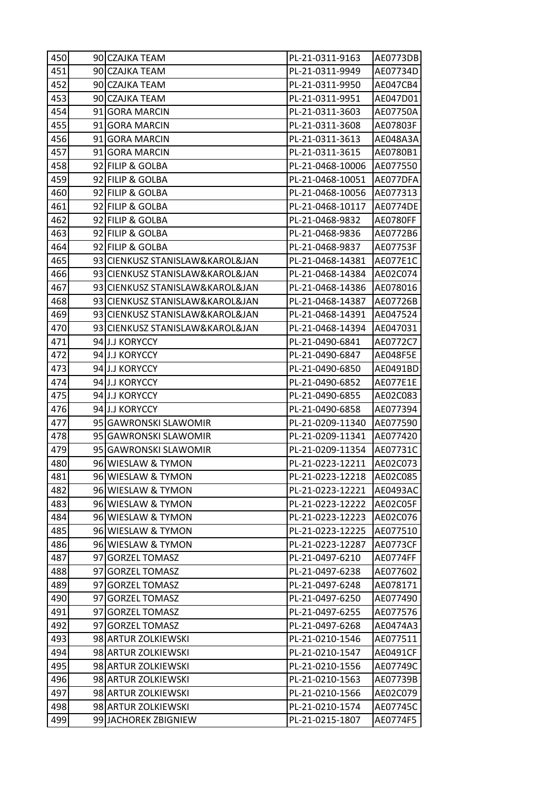| 450 | 90 CZAJKA TEAM                  | PL-21-0311-9163  | AE0773DB        |
|-----|---------------------------------|------------------|-----------------|
| 451 | 90 CZAJKA TEAM                  | PL-21-0311-9949  | AE07734D        |
| 452 | 90 CZAJKA TEAM                  | PL-21-0311-9950  | AE047CB4        |
| 453 | 90 CZAJKA TEAM                  | PL-21-0311-9951  | AE047D01        |
| 454 | 91 GORA MARCIN                  | PL-21-0311-3603  | AE07750A        |
| 455 | 91 GORA MARCIN                  | PL-21-0311-3608  | AE07803F        |
| 456 | 91 GORA MARCIN                  | PL-21-0311-3613  | AE048A3A        |
| 457 | 91 GORA MARCIN                  | PL-21-0311-3615  | AE0780B1        |
| 458 | 92 FILIP & GOLBA                | PL-21-0468-10006 | AE077550        |
| 459 | 92 FILIP & GOLBA                | PL-21-0468-10051 | AE077DFA        |
| 460 | 92 FILIP & GOLBA                | PL-21-0468-10056 | AE077313        |
| 461 | 92 FILIP & GOLBA                | PL-21-0468-10117 | AE0774DE        |
| 462 | 92 FILIP & GOLBA                | PL-21-0468-9832  | AE0780FF        |
| 463 | 92 FILIP & GOLBA                | PL-21-0468-9836  | AE0772B6        |
| 464 | 92 FILIP & GOLBA                | PL-21-0468-9837  | AE07753F        |
| 465 | 93 CIENKUSZ STANISLAW&KAROL&JAN | PL-21-0468-14381 | AE077E1C        |
| 466 | 93 CIENKUSZ STANISLAW&KAROL&JAN | PL-21-0468-14384 | AE02C074        |
| 467 | 93 CIENKUSZ STANISLAW&KAROL&JAN | PL-21-0468-14386 | AE078016        |
| 468 | 93 CIENKUSZ STANISLAW&KAROL&JAN | PL-21-0468-14387 | AE07726B        |
| 469 | 93 CIENKUSZ STANISLAW&KAROL&JAN | PL-21-0468-14391 | AE047524        |
| 470 | 93 CIENKUSZ STANISLAW&KAROL&JAN | PL-21-0468-14394 | AE047031        |
| 471 | 94 J.J KORYCCY                  | PL-21-0490-6841  | AE0772C7        |
| 472 | 94 J.J KORYCCY                  | PL-21-0490-6847  | AE048F5E        |
| 473 | 94 J.J KORYCCY                  | PL-21-0490-6850  | AE0491BD        |
| 474 | 94 J.J KORYCCY                  | PL-21-0490-6852  | AE077E1E        |
| 475 | 94 J.J KORYCCY                  | PL-21-0490-6855  | AE02C083        |
| 476 | 94 J.J KORYCCY                  | PL-21-0490-6858  | AE077394        |
| 477 | 95 GAWRONSKI SLAWOMIR           | PL-21-0209-11340 | AE077590        |
| 478 | 95 GAWRONSKI SLAWOMIR           | PL-21-0209-11341 | AE077420        |
| 479 | 95 GAWRONSKI SLAWOMIR           | PL-21-0209-11354 | AE07731C        |
| 480 | 96 WIESLAW & TYMON              | PL-21-0223-12211 | AE02C073        |
| 481 | 96 WIESLAW & TYMON              | PL-21-0223-12218 | AE02C085        |
| 482 | 96 WIESLAW & TYMON              | PL-21-0223-12221 | AE0493AC        |
| 483 | 96 WIESLAW & TYMON              | PL-21-0223-12222 | AE02C05F        |
| 484 | 96 WIESLAW & TYMON              | PL-21-0223-12223 | AE02C076        |
| 485 | 96 WIESLAW & TYMON              | PL-21-0223-12225 | AE077510        |
| 486 | 96 WIESLAW & TYMON              | PL-21-0223-12287 | <b>AE0773CF</b> |
| 487 | 97 GORZEL TOMASZ                | PL-21-0497-6210  | AE0774FF        |
| 488 | 97 GORZEL TOMASZ                | PL-21-0497-6238  | AE077602        |
| 489 | 97 GORZEL TOMASZ                | PL-21-0497-6248  | AE078171        |
| 490 | 97 GORZEL TOMASZ                | PL-21-0497-6250  | AE077490        |
| 491 | 97 GORZEL TOMASZ                | PL-21-0497-6255  | AE077576        |
| 492 | 97 GORZEL TOMASZ                | PL-21-0497-6268  | AE0474A3        |
| 493 | 98 ARTUR ZOLKIEWSKI             | PL-21-0210-1546  | AE077511        |
| 494 | 98 ARTUR ZOLKIEWSKI             | PL-21-0210-1547  | AE0491CF        |
| 495 | 98 ARTUR ZOLKIEWSKI             | PL-21-0210-1556  | AE07749C        |
| 496 | 98 ARTUR ZOLKIEWSKI             | PL-21-0210-1563  | AE07739B        |
| 497 | 98 ARTUR ZOLKIEWSKI             | PL-21-0210-1566  | AE02C079        |
| 498 | 98 ARTUR ZOLKIEWSKI             | PL-21-0210-1574  | AE07745C        |
|     | 99 JACHOREK ZBIGNIEW            | PL-21-0215-1807  | AE0774F5        |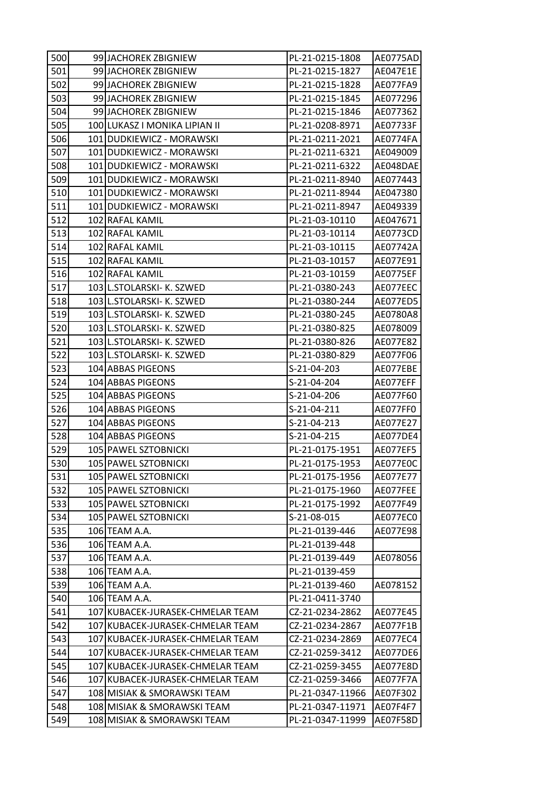| 500 | 99 JACHOREK ZBIGNIEW             | PL-21-0215-1808  | AE0775AD |
|-----|----------------------------------|------------------|----------|
| 501 | 99 JACHOREK ZBIGNIEW             | PL-21-0215-1827  | AE047E1E |
| 502 | 99 JACHOREK ZBIGNIEW             | PL-21-0215-1828  | AE077FA9 |
| 503 | 99 JACHOREK ZBIGNIEW             | PL-21-0215-1845  | AE077296 |
| 504 | 99 JACHOREK ZBIGNIEW             | PL-21-0215-1846  | AE077362 |
| 505 | 100 LUKASZ I MONIKA LIPIAN II    | PL-21-0208-8971  | AE07733F |
| 506 | 101 DUDKIEWICZ - MORAWSKI        | PL-21-0211-2021  | AE0774FA |
| 507 | 101 DUDKIEWICZ - MORAWSKI        | PL-21-0211-6321  | AE049009 |
| 508 | 101 DUDKIEWICZ - MORAWSKI        | PL-21-0211-6322  | AE048DAE |
| 509 | 101 DUDKIEWICZ - MORAWSKI        | PL-21-0211-8940  | AE077443 |
| 510 | 101 DUDKIEWICZ - MORAWSKI        | PL-21-0211-8944  | AE047380 |
| 511 | 101 DUDKIEWICZ - MORAWSKI        | PL-21-0211-8947  | AE049339 |
| 512 | 102 RAFAL KAMIL                  | PL-21-03-10110   | AE047671 |
| 513 | 102 RAFAL KAMIL                  | PL-21-03-10114   | AE0773CD |
| 514 | 102 RAFAL KAMIL                  | PL-21-03-10115   | AE07742A |
| 515 | 102 RAFAL KAMIL                  | PL-21-03-10157   | AE077E91 |
| 516 | 102 RAFAL KAMIL                  | PL-21-03-10159   | AE0775EF |
| 517 | 103 L.STOLARSKI- K. SZWED        | PL-21-0380-243   | AE077EEC |
| 518 | 103 L.STOLARSKI- K. SZWED        | PL-21-0380-244   | AE077ED5 |
| 519 | 103 L.STOLARSKI- K. SZWED        | PL-21-0380-245   | AE0780A8 |
| 520 | 103 L.STOLARSKI- K. SZWED        | PL-21-0380-825   | AE078009 |
| 521 | 103 L.STOLARSKI- K. SZWED        | PL-21-0380-826   | AE077E82 |
| 522 | 103 L.STOLARSKI- K. SZWED        | PL-21-0380-829   | AE077F06 |
| 523 | 104 ABBAS PIGEONS                | S-21-04-203      | AE077EBE |
| 524 | 104 ABBAS PIGEONS                | S-21-04-204      | AE077EFF |
| 525 | 104 ABBAS PIGEONS                | S-21-04-206      | AE077F60 |
| 526 | 104 ABBAS PIGEONS                | S-21-04-211      | AE077FF0 |
| 527 | 104 ABBAS PIGEONS                | S-21-04-213      | AE077E27 |
| 528 | 104 ABBAS PIGEONS                | S-21-04-215      | AE077DE4 |
| 529 | 105 PAWEL SZTOBNICKI             | PL-21-0175-1951  | AE077EF5 |
| 530 | 105 PAWEL SZTOBNICKI             | PL-21-0175-1953  | AE077E0C |
| 531 | 105 PAWEL SZTOBNICKI             | PL-21-0175-1956  | AE077E77 |
| 532 | 105 PAWEL SZTOBNICKI             | PL-21-0175-1960  | AE077FEE |
| 533 | 105 PAWEL SZTOBNICKI             | PL-21-0175-1992  | AE077F49 |
| 534 | 105 PAWEL SZTOBNICKI             | S-21-08-015      | AE077EC0 |
| 535 | 106 TEAM A.A.                    | PL-21-0139-446   | AE077E98 |
| 536 | 106 TEAM A.A.                    | PL-21-0139-448   |          |
| 537 | 106 TEAM A.A.                    | PL-21-0139-449   | AE078056 |
| 538 | 106 TEAM A.A.                    | PL-21-0139-459   |          |
| 539 | 106 TEAM A.A.                    | PL-21-0139-460   | AE078152 |
| 540 | 106 TEAM A.A.                    | PL-21-0411-3740  |          |
| 541 | 107 KUBACEK-JURASEK-CHMELAR TEAM | CZ-21-0234-2862  | AE077E45 |
| 542 | 107 KUBACEK-JURASEK-CHMELAR TEAM | CZ-21-0234-2867  | AE077F1B |
| 543 | 107 KUBACEK-JURASEK-CHMELAR TEAM | CZ-21-0234-2869  | AE077EC4 |
| 544 | 107 KUBACEK-JURASEK-CHMELAR TEAM | CZ-21-0259-3412  | AE077DE6 |
| 545 | 107 KUBACEK-JURASEK-CHMELAR TEAM | CZ-21-0259-3455  | AE077E8D |
| 546 | 107 KUBACEK-JURASEK-CHMELAR TEAM | CZ-21-0259-3466  | AE077F7A |
| 547 | 108 MISIAK & SMORAWSKI TEAM      | PL-21-0347-11966 | AE07F302 |
| 548 | 108 MISIAK & SMORAWSKI TEAM      | PL-21-0347-11971 | AE07F4F7 |
| 549 | 108 MISIAK & SMORAWSKI TEAM      | PL-21-0347-11999 | AE07F58D |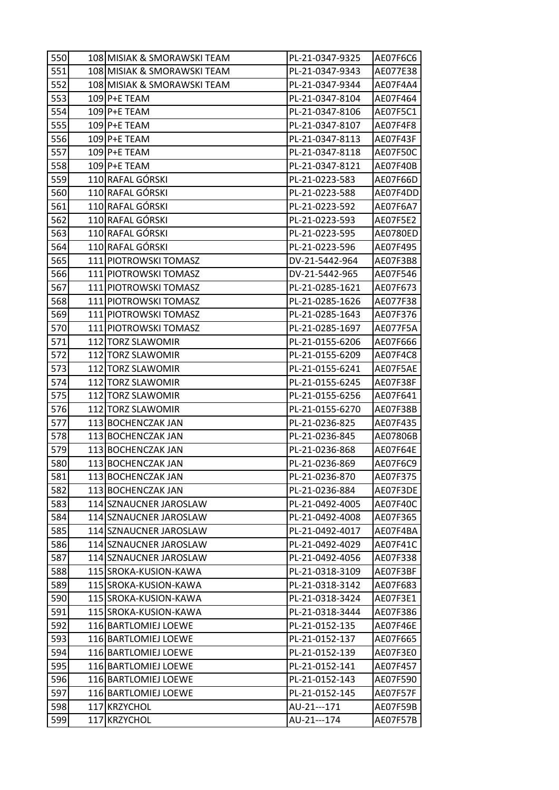| 550 | 108 MISIAK & SMORAWSKI TEAM | PL-21-0347-9325 | AE07F6C6 |
|-----|-----------------------------|-----------------|----------|
| 551 | 108 MISIAK & SMORAWSKI TEAM | PL-21-0347-9343 | AE077E38 |
| 552 | 108 MISIAK & SMORAWSKI TEAM | PL-21-0347-9344 | AE07F4A4 |
| 553 | 109 P+E TEAM                | PL-21-0347-8104 | AE07F464 |
| 554 | 109 P+E TEAM                | PL-21-0347-8106 | AE07F5C1 |
| 555 | 109 P+E TEAM                | PL-21-0347-8107 | AE07F4F8 |
| 556 | 109 P+E TEAM                | PL-21-0347-8113 | AE07F43F |
| 557 | 109 P+E TEAM                | PL-21-0347-8118 | AE07F50C |
| 558 | 109 P+E TEAM                | PL-21-0347-8121 | AE07F40B |
| 559 | 110 RAFAL GÓRSKI            | PL-21-0223-583  | AE07F66D |
| 560 | 110 RAFAL GÓRSKI            | PL-21-0223-588  | AE07F4DD |
| 561 | 110 RAFAL GÓRSKI            | PL-21-0223-592  | AE07F6A7 |
| 562 | 110 RAFAL GÓRSKI            | PL-21-0223-593  | AE07F5E2 |
| 563 | 110 RAFAL GÓRSKI            | PL-21-0223-595  | AE0780ED |
| 564 | 110 RAFAL GÓRSKI            | PL-21-0223-596  | AE07F495 |
| 565 | 111 PIOTROWSKI TOMASZ       | DV-21-5442-964  | AE07F3B8 |
| 566 | 111 PIOTROWSKI TOMASZ       | DV-21-5442-965  | AE07F546 |
| 567 | 111 PIOTROWSKI TOMASZ       | PL-21-0285-1621 | AE07F673 |
| 568 | 111 PIOTROWSKI TOMASZ       | PL-21-0285-1626 | AE077F38 |
| 569 | 111 PIOTROWSKI TOMASZ       | PL-21-0285-1643 | AE07F376 |
| 570 | 111 PIOTROWSKI TOMASZ       | PL-21-0285-1697 | AE077F5A |
| 571 | 112 TORZ SLAWOMIR           | PL-21-0155-6206 | AE07F666 |
| 572 | 112 TORZ SLAWOMIR           | PL-21-0155-6209 | AE07F4C8 |
| 573 | 112 TORZ SLAWOMIR           | PL-21-0155-6241 | AE07F5AE |
| 574 | 112 TORZ SLAWOMIR           | PL-21-0155-6245 | AE07F38F |
| 575 | 112 TORZ SLAWOMIR           | PL-21-0155-6256 | AE07F641 |
| 576 | 112 TORZ SLAWOMIR           | PL-21-0155-6270 | AE07F38B |
| 577 | 113 BOCHENCZAK JAN          | PL-21-0236-825  | AE07F435 |
| 578 | 113 BOCHENCZAK JAN          | PL-21-0236-845  | AE07806B |
| 579 | 113 BOCHENCZAK JAN          | PL-21-0236-868  | AE07F64E |
| 580 | 113 BOCHENCZAK JAN          | PL-21-0236-869  | AE07F6C9 |
| 581 | 113 BOCHENCZAK JAN          | PL-21-0236-870  | AE07F375 |
| 582 | 113 BOCHENCZAK JAN          | PL-21-0236-884  | AE07F3DE |
| 583 | 114 SZNAUCNER JAROSLAW      | PL-21-0492-4005 | AE07F40C |
| 584 | 114 SZNAUCNER JAROSLAW      | PL-21-0492-4008 | AE07F365 |
| 585 | 114 SZNAUCNER JAROSLAW      | PL-21-0492-4017 | AE07F4BA |
| 586 | 114 SZNAUCNER JAROSLAW      | PL-21-0492-4029 | AE07F41C |
| 587 | 114 SZNAUCNER JAROSLAW      | PL-21-0492-4056 | AE07F338 |
| 588 | 115 SROKA-KUSION-KAWA       | PL-21-0318-3109 | AE07F3BF |
| 589 | 115 SROKA-KUSION-KAWA       | PL-21-0318-3142 | AE07F683 |
| 590 | 115 SROKA-KUSION-KAWA       | PL-21-0318-3424 | AE07F3E1 |
| 591 | 115 SROKA-KUSION-KAWA       | PL-21-0318-3444 | AE07F386 |
| 592 | 116 BARTLOMIEJ LOEWE        | PL-21-0152-135  | AE07F46E |
| 593 | 116 BARTLOMIEJ LOEWE        | PL-21-0152-137  | AE07F665 |
| 594 | 116 BARTLOMIEJ LOEWE        | PL-21-0152-139  | AE07F3E0 |
| 595 | 116 BARTLOMIEJ LOEWE        | PL-21-0152-141  | AE07F457 |
| 596 | 116 BARTLOMIEJ LOEWE        | PL-21-0152-143  | AE07F590 |
| 597 | 116 BARTLOMIEJ LOEWE        | PL-21-0152-145  | AE07F57F |
| 598 | 117 KRZYCHOL                | AU-21---171     | AE07F59B |
| 599 | 117 KRZYCHOL                | AU-21---174     | AE07F57B |